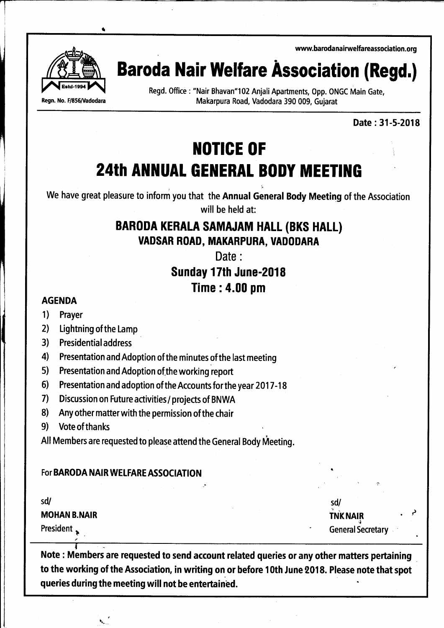

at

 $\sqcap$ 

# ww.barodanairwelfareassociation.org<br>**Baroda Nair Welfare Association (Regd.)**

Regd. Office : "Nair Bhavan"102 Anjali Apartments, Opp. ONGC Main Gate, Regn. No. F/856/Vadodara Makarpura Road, Vadodara 390 009, Gujarat

Date:31-5-2018

## **NOTICE OF 24th ANNUAL GENERAL BODY MEETING**

We have great pleasure to inform you that the Annual General Body Meeting of the Association will be held at:

## BARODA KERALA SAMAJAM HALL (BKS HALL} VADSAR ROAD, MAKARPURA, UADODARA

Date :

### Sunday 17th June-2018 Time : 4.00 pm

#### AGENDA

- 1) Prayer
- 2) Lightning of the Lamp
- 3) Presidentialaddress
- 4l Presentation and Adoption of the minutes of the last meeting
- 5) Presentation and Adoption of the working report
- 6) Presentation and adoption of the Accounts for the year 2017-18
- 7) Discussion on Future activities/ projects of BNWA
- 8) Any other matter with the permission of the chair
- 9) Vote of thanks

All Members are requested to please attend the General Body Meeting.

### For BARODA NAIR WELFARE ASSOCIATION

\

sd/

MOHAN B.NAIR

President , ,

sd/  $\overrightarrow{r}$  TNK NAIR  $\overrightarrow{r}$ **General Secretary** 

 $\mathbf{r}$ Note : Members are requested to send account related queries or any other matters pertaining to the working of the Association, in writing on or before 10th June 2018. Please note that spot queries during the meeting will not be entertained.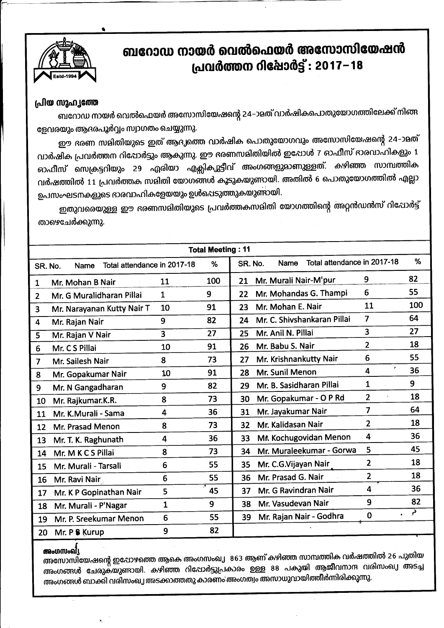

## ബറോഡ നായർ വെൽഫെയർ അസോസിയേഷൻ പ്രവർത്തന റിഷോർട്ട് : 2017-18

#### പ്രിയ സുഹ്യത്തേ

ബറോഡ നായർ വെൽഫെയർ അസോസിയേഷന്റെ 24–ാമത് വാർഷികപൊതുയോഗത്തിലേക്ക് നിങ്ങ ളേവരയും ആദരപൂർവ്വം സ്വാഗതം ചെയ്യുന്നു.

ഈ ഭരണ സമിതിയുടെ ഇത് ആദ്യത്തെ വാർഷിക പൊതുയോഗവും അസോസിയേഷന്റെ 24–ാമത് വാർഷിക പ്രവർത്തന റിപ്പോർട്ടും ആകുന്നു. ഈ ഭരണസമിതിയിൽ ഇപ്പോൾ 7 ഓഫീസ് ഭാരവാഹികളും 1 ഓഫീസ് സെക്രട്ടറിയും 29 ഏരിയാ എക്സികുുട്ടീവ് അംഗങ്ങളുമാണുള്ളത്. കഴിഞ്ഞ സാമ്പത്തിക വർഷത്തിൽ 11 പ്രവർത്തക സമിതി യോഗങ്ങൾ കൂടുകയുണ്ടായി. അതിൽ 6 പൊതുയോഗത്തിൽ എല്ലാ ഉപസംഘടനകളുടെ ഭാരവാഹികളേയയും ഉൾപെടുത്തുകയുണ്ടായി.

ഇതുവരെയുള്ള ഈ ഭരണസമിതിയുടെ പ്രവർത്തകസമിതി യോഗത്തിന്റെ അറ്റൻഡൻസ് റിപോർട്ട് താഴെചേർക്കുന്നു.

| <b>Total Meeting: 11</b> |                                     |              |     |                                                     |     |
|--------------------------|-------------------------------------|--------------|-----|-----------------------------------------------------|-----|
| SR. No.                  | Total attendance in 2017-18<br>Name |              | %   | Total attendance in 2017-18<br>SR. No.<br>Name      | %   |
| $\mathbf{1}$             | Mr. Mohan B Nair                    | 11           | 100 | 9<br>Mr. Murali Nair-M'pur<br>21                    | 82  |
| $\overline{2}$           | Mr. G Muralidharan Pillai           | $\mathbf{1}$ | 9   | 6<br>Mr. Mohandas G. Thampi<br>22                   | 55  |
| $\overline{3}$           | Mr. Narayanan Kutty Nair T          | 10           | 91  | 11<br>Mr. Mohan E. Nair<br>23                       | 100 |
| 4                        | Mr. Rajan Nair                      | 9            | 82  | $\overline{7}$<br>Mr. C. Shivshankaran Pillai<br>24 | 64  |
| 5                        | Mr. Rajan V Nair                    | 3            | 27  | $\overline{\mathbf{3}}$<br>Mr. Anil N. Pillai<br>25 | 27  |
| 6                        | Mr. C S Pillai                      | 10           | 91  | $\overline{2}$<br>Mr. Babu S. Nair<br>26            | 18  |
| $\overline{7}$           | Mr. Sailesh Nair                    | 8            | 73  | 6<br>Mr. Krishnankutty Nair<br>27                   | 55  |
| 8                        | Mr. Gopakumar Nair                  | 10           | 91  | ×.<br>4<br>Mr. Sunil Menon<br>28                    | 36  |
| 9                        | Mr. N Gangadharan                   | 9            | 82  | $\mathbf 1$<br>Mr. B. Sasidharan Pillai<br>29       | 9   |
| 10                       | Mr. Rajkumar.K.R.                   | 8            | 73  | $\overline{2}$<br>Mr. Gopakumar - O P Rd<br>30      | 18  |
| 11                       | Mr. K.Murali - Sama                 | 4            | 36  | $\overline{7}$<br>Mr. Jayakumar Nair<br>31          | 64  |
| 12                       | Mr. Prasad Menon                    | 8            | 73  | $\overline{2}$<br>Mr. Kalidasan Nair<br>32          | 18  |
| 13                       | Mr. T. K. Raghunath                 | 4            | 36  | 4<br>Mr Kochugovidan Menon<br>33                    | 36  |
| 14                       | Mr. M K C S Pillai                  | 8            | 73  | 5<br>Mr. Muraleekumar - Gorwa<br>34                 | 45  |
| 15                       | Mr. Murali - Tarsali                | 6            | 55  | $\overline{2}$<br>Mr. C.G.Vijayan Nair<br>35        | 18  |
| 16                       | Mr. Ravi Nair                       | 6            | 55  | 2<br>Mr. Prasad G. Nair<br>36                       | 18  |
| 17                       | Mr. K P Gopinathan Nair             | 5            | 45  | 4<br>Mr. G Ravindran Nair<br>37                     | 36  |
| 18                       | Mr. Murali - P'Nagar                | $\mathbf{1}$ | 9   | 9<br>Mr. Vasudevan Nair<br>38                       | 82  |
| 19                       | Mr. P. Sreekumar Menon              | 6            | 55  | 0<br>$\bullet$<br>Mr. Rajan Nair - Godhra<br>39     | د,  |
| 20                       | Mr. P & Kurup                       | 9            | 82  |                                                     |     |

#### അംഗസംഖി

അസോസിയേഷന്റെ ഇപ്പോഴത്തെ ആകെ അംഗസംഖ്യ 863 ആണ് കഴിഞ്ഞ സാമ്പത്തിക വർഷത്തിൽ 26 പുതിയ അംഗങ്ങൾ ചേരുകയുണ്ടായി. കഴിഞ്ഞ റിപ്പോർട്ടുപ്രകാരം ഉള്ള 88 പകുതി ആജീവനാന്ദ വരിസംഖ്യ അടച്ച അംഗങ്ങൾ ബാക്കി വരിസംഖ്യ അടക്കാത്തതു കാരണം അംഗത്വം അസാധുവായിത്തീർന്നിരിക്കുന്നു.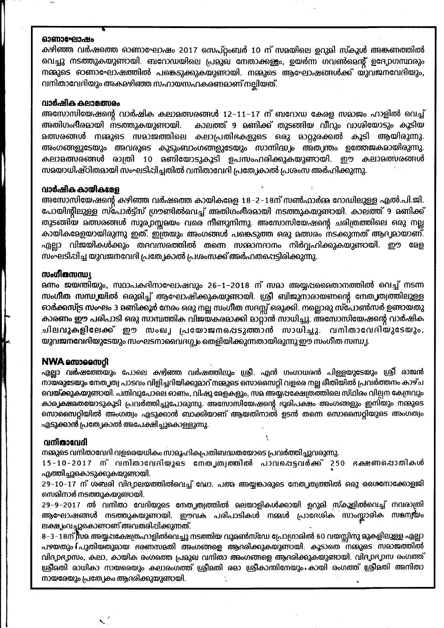#### ഓണാഘോഷം

കഴിഞ്ഞ വർഷത്തെ ഓണാഘോഷം 2017 സെപ്റ്റംബർ 10 ന് സമയിലെ ഉറുമി സ്കൂൾ അങ്കണത്തിൽ വെച്ചു നടത്തുകയുണ്ടായി. ബറോഡയിലെ പ്രമുഖ നേതാക്കളും, ഉയർന്ന ഗവൺമെന്റ് ഉദേ,pഗസ്ഥരും നമ്മുടെ ഓണാഘോഷത്തിൽ പങ്കെടുക്കുകയുണായി. നമ്മുടെ ആഘോഷങ്ങൾക്ക് യുവജനവേദിയും, വനിതാവേദിയും അകമഴിഞ്ഞ സഹായസഹകരണമാണ് നല്ലിയത്.

#### വാർഷിക കലാമത്സരം

അസോസിയേഷന്റെ വാർഷിക കലാമത്സരങ്ങൾ 12–11–17 ന് ബറോഡ കേരള സമാജം ഹാളിൽ വെച്ച് അതിഗംഭീരമായി നടത്തുകയുണ്ടായി. കാലത്ത് 9 മണിക്ക് തുടങ്ങിയ വീറും വാശിയോടും കൂടിയ **മത്സരങ്ങൾ നമ്മുടെ സമാജത്തിലെ കലാപ്രതിഭകളുടെ ഒരു മാറ്റുരക്കൽ കൂടി ആയിരുന്നു**. അംഗങ്ങളുടേയും അവരുടെ കുടുംബാംഗങ്ങളുടേയും സാന്നിദ്ധ്യം അത്വന്തം ഉത്തേജകമായിരുന്നു. കലാളത്സരങ്ങൾ രാത്രി 10 ളണിയോടുകൂടി ഉപസംഹരിക്കുകയുണ്ടായി. ഈ കലാളത്സരങ്ങൾ സമയാധിഷ്ഠിതമായി സംഘടിപ്പിച്ചതിൽ വനിതാവേദി പ്രത്യേകാൽ പ്രശംസ അർഹിക്കുന്നു.

#### വാർഷിക കായികമേള

അസോസിയേഷന്റെ കഴിഞ്ഞ വർഷത്തെ കായികളേള 18−2−18ന് സൺഫാർജ റോഡിലുള്ള എൽ.പി.ജി. പോയിന്റിലുള്ള സ്പോർട്ട്സ് ഗ്രൗണ്ടിൽവെച്ച് അതിഗംഭീരമായി നടത്തുകയുണ്ടായി. കാലത്ത് 9 മണിക്ക് തുടങ്ങിയ മത്സരങ്ങൾ സൂര്വാസ്സമയം വരെ നീണ്ടുനിന്നു. അസോസിയേഷന്റെ ചരിത്രത്തിലെ ഒരു നല്ല കായികളേളയായിരുന്നു ഇത്. ഇത്രയും അംഗങ്ങൾ പങ്കെടുത്ത ഒരു മത്സരം നടക്കുന്നത് ആദ്യമായാണ്. എല്ലാ വിജയികൾക്കും തദവസരത്തിൽ തന്നെ സമ്മാനദാനം നിർവ്വഹിക്കുകയുണ്ടായി. ഈ മേള സംഘടിപ്പിച്ച യുവജനവേദി പ്രത്യേകാൽ പ്രശംസക്ക് അർഹതപ്പെട്ടിരിക്കുന്നു.

#### ൜ഄൕീതസന്ധ്യ

ളന്നം ജയന്തിയും, സ്ഥാപകദിനാഘോഷവും 26−1−2018 ന് സമാ അയ്യപ്പമൈതാനത്തിൽ വെച്ച് നടന്ന സംഗീത സന്ധ്യയിൽ ഒരുമിച്ച് ആഘോഷിക്കുകയുണ്ടായി. ശ്രീ ബിജുനാരായണന്റെ നേത്യത്വത്തിലുള്ള ഓർക്കസ്ട്ര സംഘം 3 മണിക്കൂർ നേരം ഒരു നല്ല സംഗീത സദസ്സ് ഒരുക്കി. നല്ലൊരു സ്പോൺസർ ഉണ്ടായതു കാരണം ഈ പരിപാടി ഒരു സാമ്പത്തിക വിജയകരമാക്കി മാറ്റാൻ സാധിച്ചു. അസോസിയേഷന്റെ വാർഷിക ചിലവുകളിലേക്ക് ഈ സംഖ്യ പ്രയോജനപ്പെടുത്താൻ സാധിച്ചു. വനിതാവേദിയുടേയും, യുവജനവേദിയുടേയും സംഘടനാവൈദഗ്ഗ്യം തെളിയിക്കുന്നതായിരുന്നു ഈ സംഗീത സന്ധ്യ.

#### **NWA empagmol**

എല്ലാ വർഷത്തേയും പോലെ കഴിഞ്ഞ വർഷത്തിലും ശ്രീ. എൻ ഗംഗാധരൻ പിള്ളയുടേയും ശ്രീ രാജൻ നായരുടേയും നേതൃത്വ പാടവം വിളിച്ചറിയിക്കുമാറ് നമ്മുടെ സൊസൈറ്റി വളരെ നല്ല രീതിയിൽ പ്രവർത്തനം കാഴ്ച വെയ്ക്കുകയുണായി. പതിവുപോലെ ഓണം, വിഷു മേളകളും, സമ അയ്യപക്ഷേത്രത്തിലെ സ്ഥിരം വില്പന കേന്ദ്രവും കാര്യക്ഷമതയോടുകൂടി പ്രവർത്തിച്ചുപോരുന്നു. അസോസിയേഷന്റെ ഭൂരിപക്ഷം അംഗങ്ങളും ഇനിയും നമ്മുടെ സൊസൈറ്റിയിൽ അംഗത്വം എടുക്കാൻ ബാക്കിയാണ് ആയതിനാൽ ഉടൻ തന്നെ സൊസൈറ്റിയുടെ അംഗത്വം എടുക്കാൻ പ്രത്യേകാൽ അപേക്ഷിച്ചുകൊള്ളുന്നു.

#### വനിതാവേദി

നജുടെ വനിതാവേദി വളരെയധികം സാമൂഹികപ്രതിബദ്ധതയോടെ പ്രവർത്തിച്ചുവരുന്നു.

15-10-2017 ന് വനിതാവേദിയുടെ നേതൃത്വത്തിൽ പാവപ്പെട്ടവർക്ക് 250 ദക്ഷണപ്പൊതികൾ എത്തിച്ചുകൊടുക്കുകയുണ്ടായി.

29−10−17 ന് ശബരി വിദ്യാലയത്തിൽവെച്ച് ഡോ. പത്മ അയ്യങ്കാരുടെ നേതൃത്വത്തിൽ ഒരു ശൈനോക്കോളജി സെമിനാർ നടത്തുകയുണ്ടായി.

29–9–2017 ൽ വനിതാ വേദിയുടെ നേതൃത്വത്തിൽ മലയാളികൾക്കായി ഉറുമി സ്കൂളിൽവെച്ച് നവരാത്രി ആഘോഷങ്ങൾ നടത്തുകയുണായി. ഈവക പരിപാടികൾ നമ്മൾ പ്രാദേശിക സാംസ്കാരിക സമന്വയം ലക്ഷ, പ്രച്ചുകൊണ്ടാണ് അവതരിപ്പിക്കുന്നത്.

8–3–18ന് സമ അയ്യപക്ഷേത്രഹാളിൽവെച്ചു നടത്തിയ വുമൺസ്ഡേ പ്രോഗ്രാമിൽ 60 വയസ്സിനു മുകളിലുള്ള എല്ലാ പഴയതും і പുതിയതുമായ ഭരണസമതി അംഗങ്ങളെ ആദരിക്കുകയുണ്ടായി. കൂടാതെ നമ്മുടെ സമാജത്തിൽ വിദ്യാഭ്യാസം, കലാ, കായിക രംഗത്തെ പ്രമുഖ വനിതാ അംഗങ്ങളെ ആദരിക്കുകയുണ്ടായി. വിദ്യാഭ്യാസ രംഗത്ത് ശ്രീമതി രാധികാ നായരെയും കലാരംഗത്ത് ശ്രീമതി രമാ ശ്രീകാന്തിനേയും കായി രംഗത്ത് ശ്രീമതി അനിതാ നായരേയും പ്രത്യേകം ആദരിക്കുയുണ്ടായി.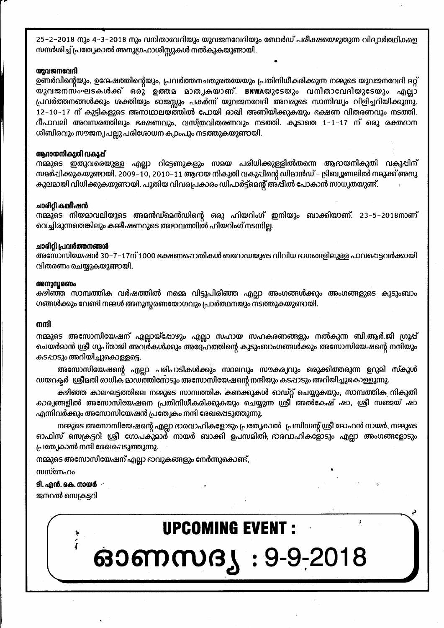25–2–2018 നും 4–3–2018 നും വനിതാവേദിയും യുവജനവേദിയും ബോർഡ് പരീക്ഷയെഴുതുന്ന വിദ്യാർത്ഥികളെ സന്ദർശിച്ച് പ്രത്യേകാൽ അനുഗ്രഹാശിസ്സുകൾ നൽകുകയുണ്ടായി.

#### യുവജനവേദി

ഉണർവിന്റെയും, ഉന്മേഷത്തിന്റെയും, പ്രവർത്തനചതുരതയേയും പ്രതിനിധീകരിക്കുന്ന നമ്മുടെ യുവജനവേദി മറ്റ് യുവജനസംഘടകൾക്ക് ഒരു ഉത്തമ മാതൃകയാണ്. BNWAയുടേയും വനിതാവേദിയുടേയും എല്ലാ പ്രവർത്തനങ്ങൾക്കും ശക്തിയും ഓജസ്സും പകർന്ന് യുവജനവേദി അവരുടെ സാന്നിദ്ധ്യം വിളിച്ചറിയിക്കുന്നു. 12–10–17 ന് കുട്ടികളുടെ അനാഥാലയത്തിൽ പോയി രാഖി അണിയിക്കുകയും ഭക്ഷണ വിതരണവും നടത്തി. ദീപാവലി അവസരത്തിലും ഭക്ഷണവും, വസ്ത്രവിതരണവും നടത്തി. കൂടാതെ 1–1–17 ന് ഒരു രക്തദാന ശിബിരവും സൗജന്യ പല്ലു പരിശോധന ക,pംപും നടത്തുകയുണ്ടായി.

#### ആദായനികുതി വകുപ്പ്

നമ്മുടെ ഇതുവരെയുള്ള എല്ലാ റിട്ടേണുകളും സമയ പരിധിക്കുള്ളിൽതന്നെ ആദായനികുതി വകുപ്പിന് സമർപ്പിക്കുകയുണ്ടായി. 2009–10, 2010–11 ആദായ നികുതി വകുപ്പിന്റെ ഡിമാൻഡ് – ട്രിബ്യൂണലിൽ നമുക്ക് അനു കുലമായി വിധിക്കുകയുണായി. പുതിയ വിവരപ്രകാരം ഡിപാർട്ട്മെന്റ് അ്പീൽ പോകാൻ സാധ്യതയുണ്ട്.

#### ചാരിറ്റി കമ്മീഷൻ

നമ്മുടെ നിയമാവലിയുടെ അമൻഡ്മെൻഡിന്റെ ഒരു ഹിയറിംഗ് ഇനിയും ബാക്കിയാണ്. 23–5–2018നാണ് വെച്ചിരുന്നതെങ്കിലും കമ്മീഷണറുടെ അഭാവത്തിൽ ഹിയറിംഗ് നടന്നില്ല.

#### ചാരിറ്റി പ്രവർത്തനങ്ങൾ

അസോസിയേഷൻ 30−7−17ന് 1000 ഭക്ഷണപ്പൊതികൾ ബറോഡയുടെ വിവിധ ദാഗങ്ങളിലുള്ള പാവപ്പെട്ടവർക്കായി വിതരണം ചെയ്യുകയുണ്ടായി.

#### അനുസ്സരണം

കഴിഞ്ഞ സാമ്പത്തിക വർഷത്തിൽ നമ്മെ വിട്ടുപിരിഞ്ഞ എല്ലാ അംഗങ്ങൾക്കും അംഗങ്ങളുടെ കുടുംബാം ഗങ്ങൾക്കും വേണ്ടി നമ്മൾ അനുസ്റ്റരണയോഗവും പ്രാർത്ഥനയും നടത്തുകയുണ്ടായി.

#### നന്ദി

നമ്മുടെ അസോസിയേഷന് എല്ലായ്പോഴും എല്ലാ സഹായ സഹകരണങ്ങളും നൽകുന്ന ബി.ആർ.ജി ഗ്രൂപ്പ് ചെയർമാൻ ശ്രീ ഗുപ്താജി അവർകൾക്കും അദ്ദേഹത്തിന്റെ കുടുംബാംഗങ്ങൾക്കും അസോസിയേഷന്റെ നന്ദിയും കടപ്പാടും അറിയിച്ചുകൊള്ളട്ടെ.

അസോസിയേഷന്റെ എല്ലാ പരിപാടികൾക്കും സ്ഥലവും സൗകര്യവും ഒരുക്കിത്തരുന്ന ഉറുമി സ്കൂൾ ഡയറക്ടർ ശ്രീമതി രാധിക മാഡത്തിനോടും അസോസിയേഷന്റെ നന്ദിയും കടപ്പാടും അറിയിച്ചുകൊള്ളുന്നു.

കഴിഞ്ഞ കാലഘട്ടത്തിലെ നമ്മുടെ സാമ്പത്തിക കണക്കുകൾ ഓഡ്റ്റ് ചെയ്യുകയും, സാമ്പത്തിക നികുതി കാര്യങ്ങളിൽ അസോസിയേഷനെ പ്രതിനിധീകരിക്കുകയും ചെയ്യുന്ന ശ്രീ അൽകേഷ് ഷാ, ശ്രീ സഞ്ജയ് ഷാ എന്നിവർക്കും അസോസിയേഷൻ പ്രത്യേകം നന്ദി രേഖപ്പെടുത്തുന്നു.

നമ്മുടെ അസോസിയേഷന്റെ എല്ലാ ഭാരവാഹികളോടും പ്രത്യേകാൽ പ്രസിഡന്റ് ശ്രീ മോഹൻ നായർ, നമ്മുടെ ഓഫിസ് സെക്രട്ടറി ശ്രീ ഗോപകുമാർ നായർ ബാക്കി ഉപസമിതി<sub>.</sub> ദാരവാഹികളോടും എല്ലാ അംഗങ്ങളോടും പ്രത്യേകാൽ നന്ദി രേഖപ്പെടുത്തുന്നു.

നമ്മുടെ അസോസിയേഷന് എല്ലാ ദാവുകങ്ങളും നേർന്നുകൊണ്ട്,

സസ്നേഹം

ടി. എൻ. കെ. നായർ ജനറൽ സെക്രട്ടറി

## **UPCOMING EVENT:**

ഓണസദ്യ : 9-9-2018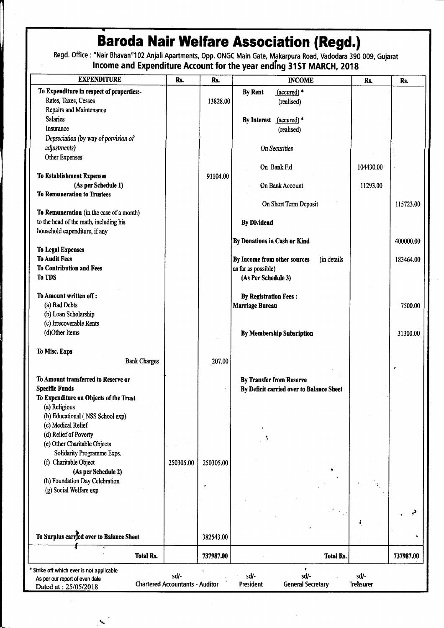## **Baroda Nair Welfare Association (Regd.)**

Regd. Office: "Nair Bhavan"102 Anjali Apartments, Opp. ONGC Main Gate, Makarpura Road, Vadodara 390 009, Gujarat<br>Income and Expenditure Account for the year ending 31ST MARCH, 2018

| <b>EXPENDITURE</b>                                | Rs.                                    | Rs.                        | <b>INCOME</b>                                                      | Rs.               | Rs.       |
|---------------------------------------------------|----------------------------------------|----------------------------|--------------------------------------------------------------------|-------------------|-----------|
| To Expenditure in respect of properties:-         |                                        |                            | <b>By Rent</b><br>$(\text{accured})$ *                             |                   |           |
| Rates, Taxes, Cesses                              |                                        | 13828.00                   | (realised)                                                         |                   |           |
| Repairs and Maintenance                           |                                        |                            |                                                                    |                   |           |
| <b>Salaries</b>                                   |                                        |                            | $(\text{accured})$ *<br><b>By Interest</b>                         |                   |           |
| Insurance                                         |                                        |                            | (realised)                                                         |                   |           |
| Depreciation (by way of porvision of              |                                        |                            |                                                                    |                   |           |
| adjustments)                                      |                                        |                            | <b>On Securities</b>                                               |                   |           |
| Other Expenses                                    |                                        |                            |                                                                    |                   |           |
|                                                   |                                        |                            | On Bank F.d                                                        | 104430.00         |           |
| <b>To Establishment Expenses</b>                  |                                        | 91104.00                   |                                                                    |                   |           |
| (As per Schedule 1)                               |                                        |                            | On Bank Account                                                    | 11293.00          |           |
| <b>To Remuneration to Trustees</b>                |                                        |                            |                                                                    |                   |           |
|                                                   |                                        |                            | On Short Term Deposit                                              |                   | 115723.00 |
| To Remuneration (in the case of a month)          |                                        |                            |                                                                    |                   |           |
| to the head of the math, including his            |                                        |                            | <b>By Dividend</b>                                                 |                   |           |
| household expenditure, if any                     |                                        |                            |                                                                    |                   |           |
|                                                   |                                        |                            | By Donations in Cash or Kind                                       |                   | 400000.00 |
| <b>To Legal Expenses</b><br><b>To Audit Fees</b>  |                                        |                            |                                                                    |                   |           |
| <b>To Contribution and Fees</b>                   |                                        |                            | By Income from other sources<br>(in details<br>as far as possible) |                   | 183464.00 |
| <b>To TDS</b>                                     |                                        |                            | (As Per Schedule 3)                                                |                   |           |
|                                                   |                                        |                            |                                                                    |                   |           |
| To Amount written off:                            |                                        |                            | <b>By Registration Fees:</b>                                       |                   |           |
| (a) Bad Debts                                     |                                        |                            | <b>Marriage Bureau</b>                                             |                   | 7500.00   |
| (b) Loan Scholarship                              |                                        |                            |                                                                    |                   |           |
| (c) Irrecoverable Rents                           |                                        |                            |                                                                    |                   |           |
| (d)Other Items                                    |                                        |                            | <b>By Membership Subsription</b>                                   |                   | 31300.00  |
|                                                   |                                        |                            |                                                                    |                   |           |
| To Misc. Exps                                     |                                        |                            |                                                                    |                   |           |
| <b>Bank Charges</b>                               |                                        | 207.00                     |                                                                    |                   |           |
|                                                   |                                        |                            |                                                                    |                   | e         |
| To Amount transferred to Reserve or               |                                        |                            | <b>By Transfer from Reserve</b>                                    |                   |           |
| <b>Specific Funds</b>                             |                                        |                            | By Deficit carried over to Balance Sheet                           |                   |           |
| To Expenditure on Objects of the Trust            |                                        |                            |                                                                    |                   |           |
| (a) Religious<br>(b) Educational (NSS School exp) |                                        |                            |                                                                    |                   |           |
| (c) Medical Relief                                |                                        |                            |                                                                    |                   |           |
| (d) Relief of Poverty                             |                                        |                            |                                                                    |                   |           |
| (e) Other Charitable Objects                      |                                        |                            |                                                                    |                   |           |
| Solidarity Programme Exps.                        |                                        |                            |                                                                    |                   |           |
| (f) Charitable Object                             | 250305.00                              | 250305.00                  |                                                                    |                   |           |
| (As per Schedule 2)                               |                                        |                            |                                                                    |                   |           |
| (h) Foundation Day Celebration                    |                                        |                            |                                                                    |                   |           |
| (g) Social Welfare exp                            |                                        | $\mathcal{C}^{\mathbf{N}}$ |                                                                    | P                 |           |
|                                                   |                                        |                            |                                                                    |                   |           |
|                                                   |                                        |                            |                                                                    |                   |           |
|                                                   |                                        |                            |                                                                    | 4                 |           |
|                                                   |                                        |                            |                                                                    |                   |           |
| To Surplus carried over to Balance Sheet          |                                        | 382543.00                  |                                                                    |                   |           |
|                                                   |                                        |                            |                                                                    |                   |           |
| <b>Total Rs.</b>                                  |                                        | 737987.00                  | <b>Total Rs.</b>                                                   |                   | 737987.00 |
| Strike off which ever is not applicable           | sd/-                                   |                            | ٠<br>sd/-                                                          |                   |           |
| As per our report of even date                    | <b>Chartered Accountants - Auditor</b> |                            | sd/-<br>President<br><b>General Secretary</b>                      | sd/-<br>Treasurer |           |
| Dated at: 25/05/2018                              |                                        |                            |                                                                    |                   |           |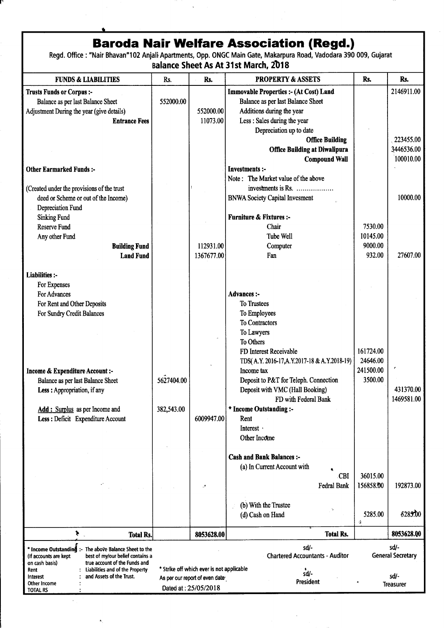**Baroda Nair Welfare Association (Regd.)**<br>Regd. Office : "Nair Bhavan"102 Anjali Apartments, Opp. ONGC Main Gate, Makarpura Road, Vadodara 390 009, Gujarat **Balance Sheet As At 31st March, 2018** 

| <b>FUNDS &amp; LIABILITIES</b>                                                  | Rs.        | Rs.                                       | <b>PROPERTY &amp; ASSETS</b>                   | Rs.       | Rs.                      |
|---------------------------------------------------------------------------------|------------|-------------------------------------------|------------------------------------------------|-----------|--------------------------|
| <b>Trusts Funds or Corpus :-</b>                                                |            |                                           | <b>Immovable Properties :- (At Cost) Land</b>  |           | 2146911.00               |
| Balance as per last Balance Sheet                                               | 552000.00  |                                           | Balance as per last Balance Sheet              |           |                          |
| Adjustment During the year (give details)                                       |            | 552000.00                                 | Additions during the year                      |           |                          |
|                                                                                 |            |                                           | Less : Sales during the year                   |           |                          |
| <b>Entrance Fees</b>                                                            |            | 11073.00                                  |                                                |           |                          |
|                                                                                 |            |                                           | Depreciation up to date                        |           |                          |
|                                                                                 |            |                                           | <b>Office Building</b>                         |           | 223455.00                |
|                                                                                 |            |                                           | <b>Office Building at Diwalipura</b>           |           | 3446536.00               |
|                                                                                 |            |                                           | <b>Compound Wall</b>                           |           | 100010.00                |
| <b>Other Earmarked Funds:-</b>                                                  |            |                                           | <b>Investments:-</b>                           |           |                          |
|                                                                                 |            |                                           | Note: The Market value of the above            |           |                          |
| (Created under the provisions of the trust                                      |            |                                           | investments is Rs.                             |           |                          |
| deed or Scheme or out of the Income)                                            |            |                                           | <b>BNWA Society Capital Invesment</b>          |           | 10000.00                 |
| Depreciation Fund                                                               |            |                                           |                                                |           |                          |
| <b>Sinking Fund</b>                                                             |            |                                           | <b>Furniture &amp; Fixtures:-</b>              |           |                          |
| <b>Reserve Fund</b>                                                             |            |                                           | Chair                                          | 7530.00   |                          |
| Any other Fund                                                                  |            |                                           | <b>Tube Well</b>                               | 10145.00  |                          |
|                                                                                 |            |                                           |                                                | 9000.00   |                          |
| <b>Building Fund</b>                                                            |            | 112931.00                                 | Computer                                       |           |                          |
| <b>Land Fund</b>                                                                |            | 1367677.00                                | Fan                                            | 932.00    | 27607.00                 |
|                                                                                 |            |                                           |                                                |           |                          |
| Liabilities :-                                                                  |            |                                           |                                                |           |                          |
| For Expenses                                                                    |            |                                           |                                                |           |                          |
| For Advances                                                                    |            |                                           | <b>Advances:-</b>                              |           |                          |
| For Rent and Other Deposits                                                     |            |                                           | To Trustees                                    |           |                          |
| For Sundry Credit Balances                                                      |            |                                           | To Employees                                   |           |                          |
|                                                                                 |            |                                           | To Contractors                                 |           |                          |
|                                                                                 |            |                                           | To Lawyers                                     |           |                          |
|                                                                                 |            |                                           | To Others                                      |           |                          |
|                                                                                 |            |                                           | FD Interest Receivable                         | 161724.00 |                          |
|                                                                                 |            |                                           | TDS(A.Y. 2016-17, A.Y. 2017-18 & A.Y. 2018-19) | 24646.00  |                          |
| <b>Income &amp; Expenditure Account:-</b>                                       |            |                                           | Income tax                                     | 241500.00 |                          |
| Balance as per last Balance Sheet                                               | 5627404.00 |                                           | Deposit to P&T for Teleph. Connection          | 3500.00   |                          |
|                                                                                 |            |                                           | Deposit with VMC (Hall Booking)                |           | 431370.00                |
| Less: Appropriation, if any                                                     |            |                                           |                                                |           | 1469581.00               |
|                                                                                 |            |                                           | FD with Federal Bank                           |           |                          |
| Add: Surplus as per Income and                                                  | 382,543.00 |                                           | * Income Outstanding :-                        |           |                          |
| Less : Deficit Expenditure Account                                              |            | 6009947.00                                | Rent                                           |           |                          |
|                                                                                 |            |                                           | Interest ·                                     |           |                          |
|                                                                                 |            |                                           | Other Income                                   |           |                          |
|                                                                                 |            |                                           |                                                |           |                          |
|                                                                                 |            |                                           | <b>Cash and Bank Balances :-</b>               |           |                          |
|                                                                                 |            |                                           | (a) In Current Account with                    |           |                          |
|                                                                                 |            |                                           | CBI                                            | 36015.00  |                          |
|                                                                                 |            |                                           | Fedral Bank                                    | 156858.00 | 192873.00                |
|                                                                                 |            |                                           |                                                |           |                          |
|                                                                                 |            |                                           | (b) With the Trustee                           |           |                          |
|                                                                                 |            |                                           | (d) Cash on Hand                               | 5285.00   | 5285.00                  |
|                                                                                 |            |                                           |                                                | Ą         |                          |
| ⊁.<br><b>Total Rs.</b>                                                          |            | 8053628.00                                | <b>Total Rs.</b>                               |           | 8053628.00               |
| * Income Outstanding :-<br>The above Balance Sheet to the                       |            |                                           | sd/-                                           |           | sd/-                     |
| best of my/our belief contains a<br>(If accounts are kept                       |            |                                           | <b>Chartered Accountants - Auditor</b>         |           | <b>General Secretary</b> |
| true account of the Funds and<br>on cash basis)                                 |            |                                           |                                                |           |                          |
| Liabilities and of the Property<br>Rent<br>and Assets of the Trust.<br>Interest |            | * Strike off which ever is not applicable | sd/-                                           |           | sd/-                     |
| Other Income                                                                    |            | As per our report of even date            | President                                      |           | <b>Treasurer</b>         |
| TOTAL RS                                                                        |            | Dated at: 25/05/2018                      |                                                |           |                          |

 $\bar{\star}$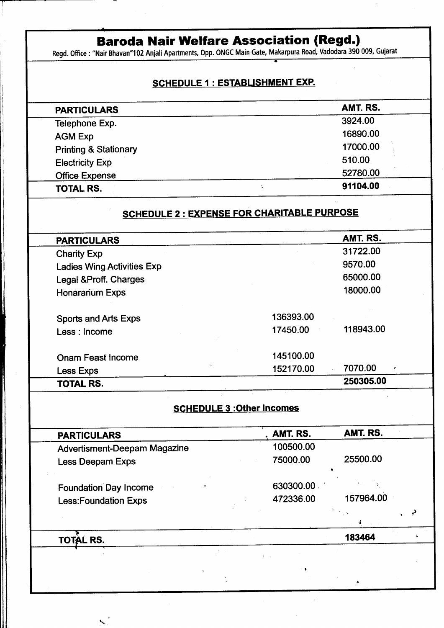## **Baroda Nair Welfare Association (Regd.)**<br>Regd. Office : "Nair Bhavan"102 Anjali Apartments, Opp. ONGC Main Gate, Makarpura Road, Vadodara 390 009, Gujarat

#### **SCHEDULE 1 : ESTABLISHMENT EXP.**

| <b>PARTICULARS</b>               | AMT. RS.       |
|----------------------------------|----------------|
| Telephone Exp.                   | 3924.00        |
| <b>AGM Exp</b>                   | 16890.00       |
| <b>Printing &amp; Stationary</b> | 17000.00       |
| <b>Electricity Exp</b>           | 510.00         |
| <b>Office Expense</b>            | 52780.00       |
| TOTAL RS.                        | 91104.00<br>V. |

## **SCHEDULE 2 : EXPENSE FOR CHARITABLE PURPOSE**

| <b>PARTICULARS</b>                |           | AMT. RS.      |  |
|-----------------------------------|-----------|---------------|--|
| <b>Charity Exp</b>                |           | 31722.00      |  |
| <b>Ladies Wing Activities Exp</b> |           | 9570.00       |  |
| Legal &Proff. Charges             |           | 65000.00      |  |
| <b>Honararium Exps</b>            |           | 18000.00      |  |
| <b>Sports and Arts Exps</b>       | 136393.00 |               |  |
| Less: Income                      | 17450.00  | 118943.00     |  |
| Onam Feast Income                 | 145100.00 |               |  |
| Less Exps                         | 152170.00 | 7070.00<br>K, |  |
| <b>TOTAL RS.</b>                  |           | 250305.00     |  |
|                                   |           |               |  |

### **SCHEDULE 3 : Other Incomes**

| <b>PARTICULARS</b>                  |   | AMT. RS.  | AMT. RS.  |  |
|-------------------------------------|---|-----------|-----------|--|
| <b>Advertisment-Deepam Magazine</b> |   | 100500.00 |           |  |
| Less Deepam Exps                    |   | 75000.00  | 25500.00  |  |
| <b>Foundation Day Income</b>        | ್ | 630300.00 |           |  |
| <b>Less:Foundation Exps</b>         |   | 472336.00 | 157964.00 |  |
|                                     |   |           |           |  |
| TO                                  |   |           | 183464    |  |

 $\mathbf{t}_{\mathbf{a}_1}$